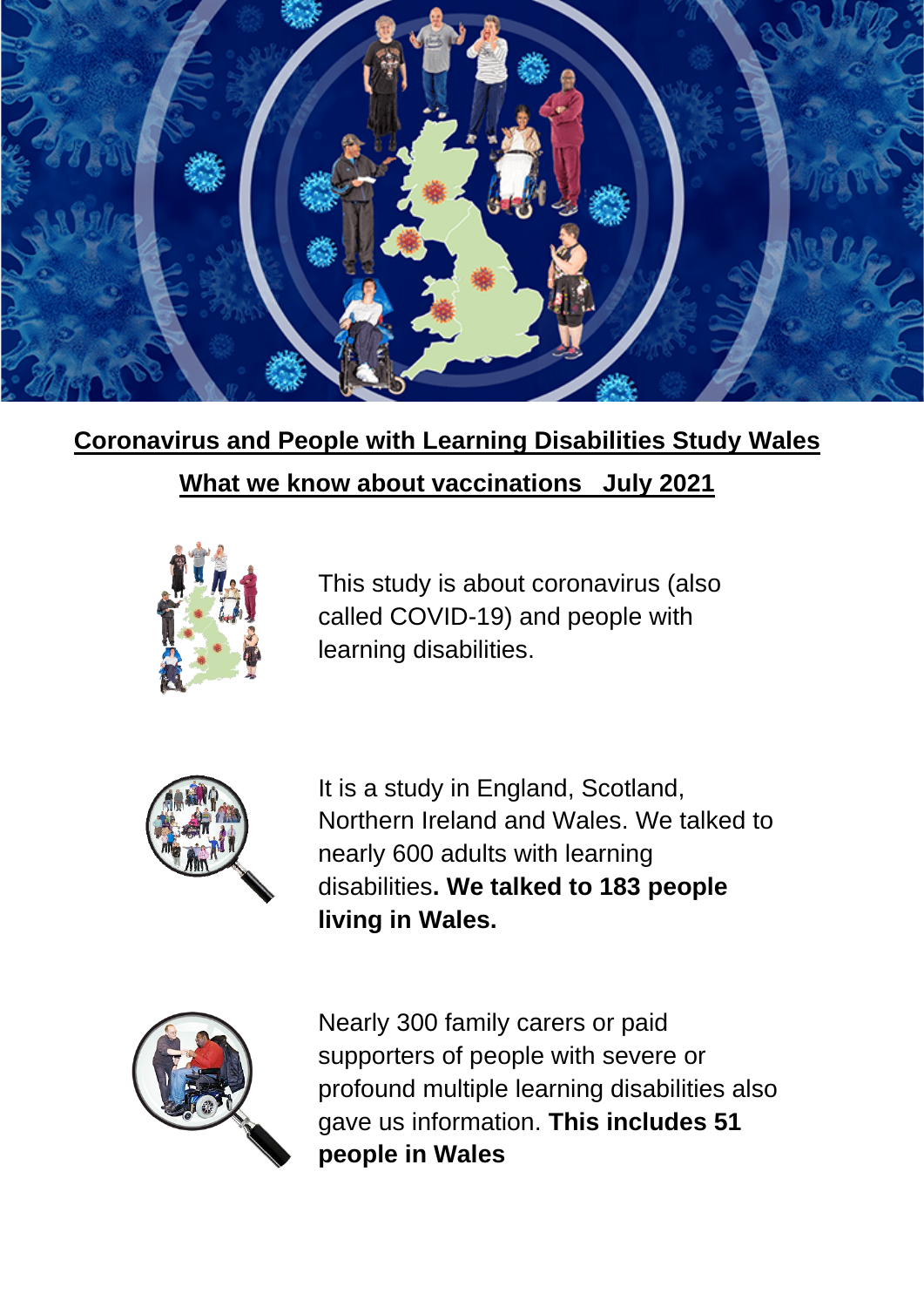

# **Coronavirus and People with Learning Disabilities Study Wales What we know about vaccinations July 2021**



This study is about coronavirus (also called COVID-19) and people with learning disabilities.



It is a study in England, Scotland, Northern Ireland and Wales. We talked to nearly 600 adults with learning disabilities**. We talked to 183 people living in Wales.**



Nearly 300 family carers or paid supporters of people with severe or profound multiple learning disabilities also gave us information. **This includes 51 people in Wales**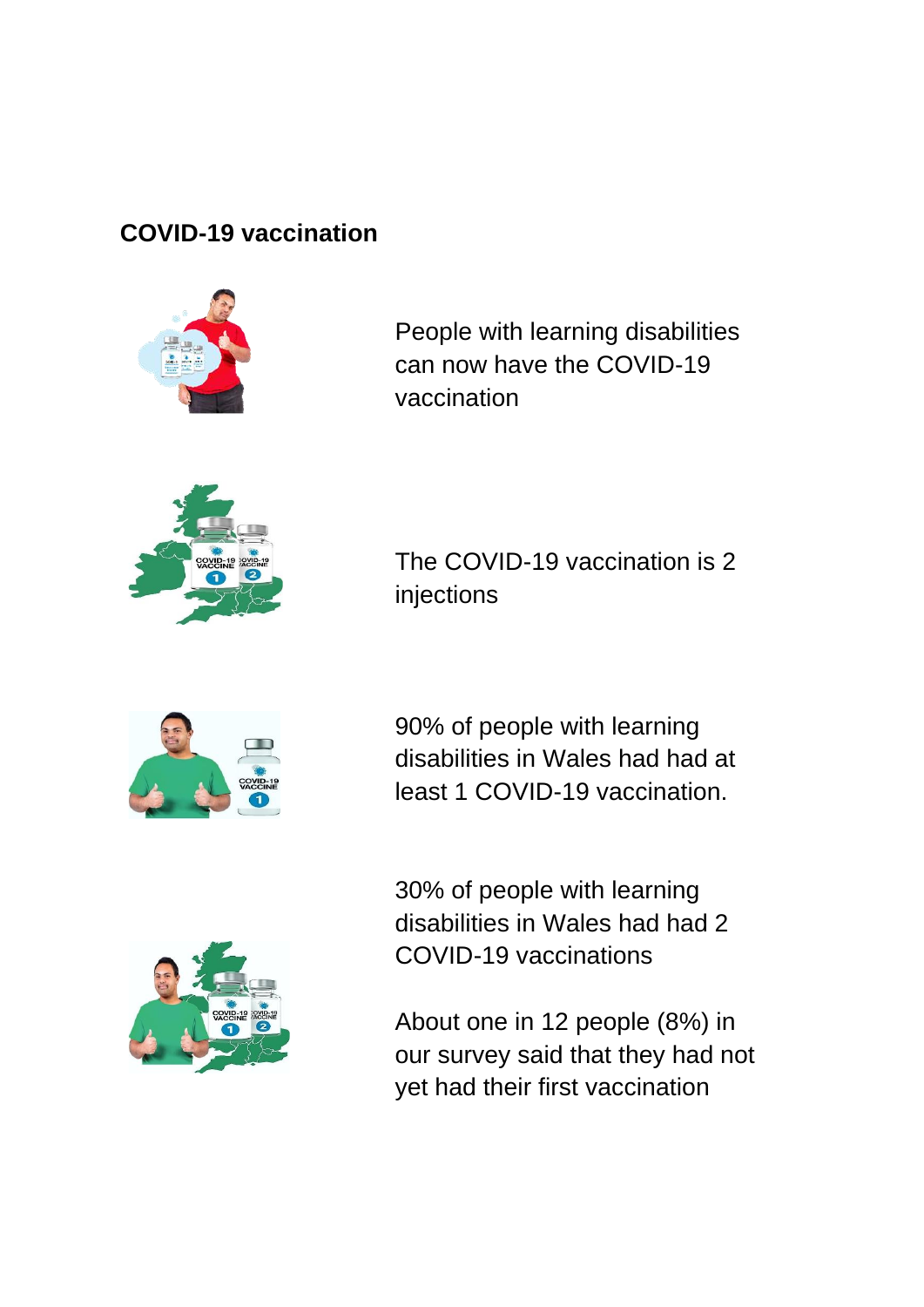### **COVID-19 vaccination**



People with learning disabilities can now have the COVID-19 vaccination



The COVID-19 vaccination is 2 injections



90% of people with learning disabilities in Wales had had at least 1 COVID-19 vaccination.



30% of people with learning disabilities in Wales had had 2 COVID-19 vaccinations

About one in 12 people (8%) in our survey said that they had not yet had their first vaccination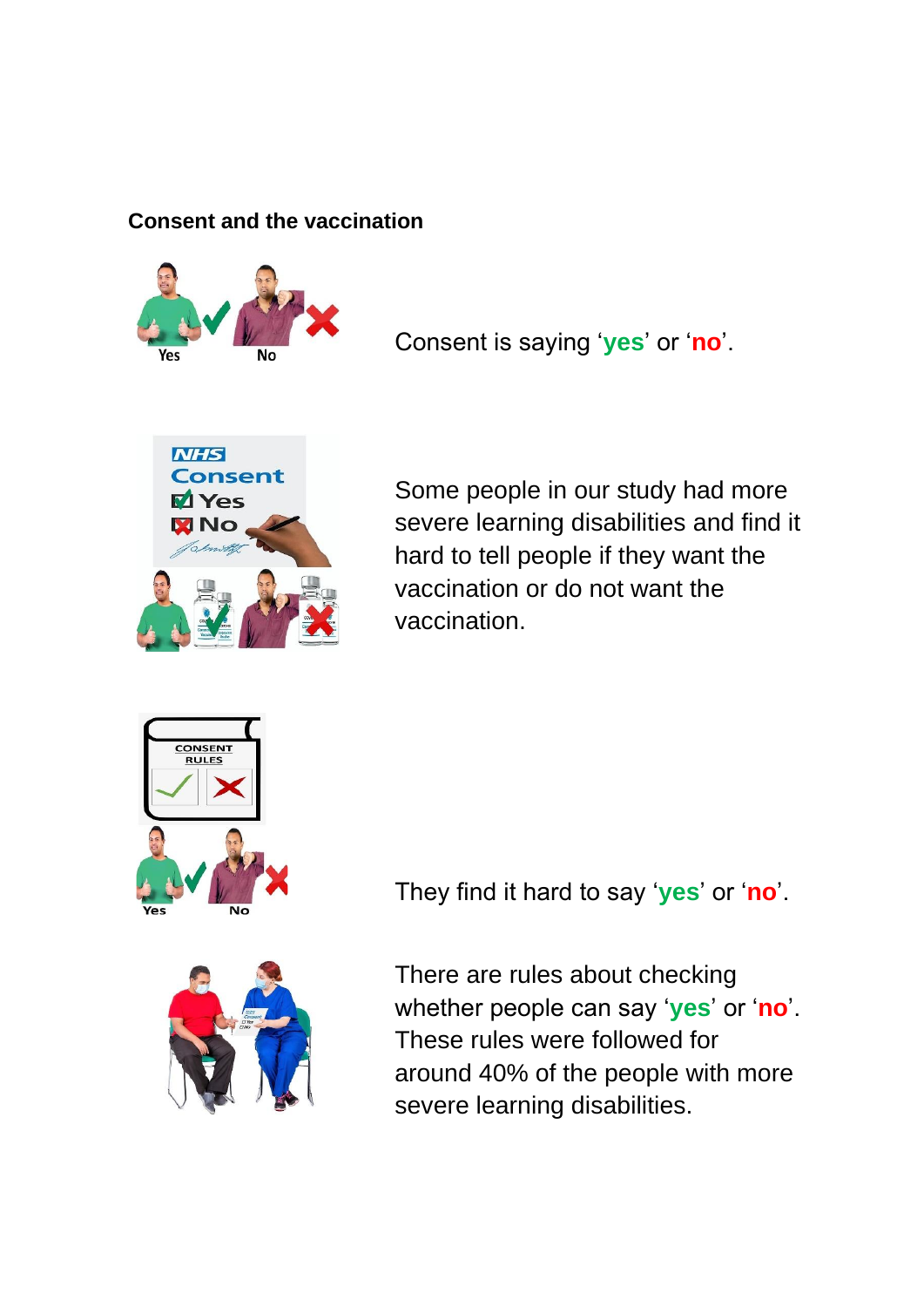#### **Consent and the vaccination**



Consent is saying '**yes**' or '**no**'.



Some people in our study had more severe learning disabilities and find it hard to tell people if they want the vaccination or do not want the vaccination.





They find it hard to say '**yes**' or '**no**'.

There are rules about checking whether people can say '**yes**' or '**no**'. These rules were followed for around 40% of the people with more severe learning disabilities.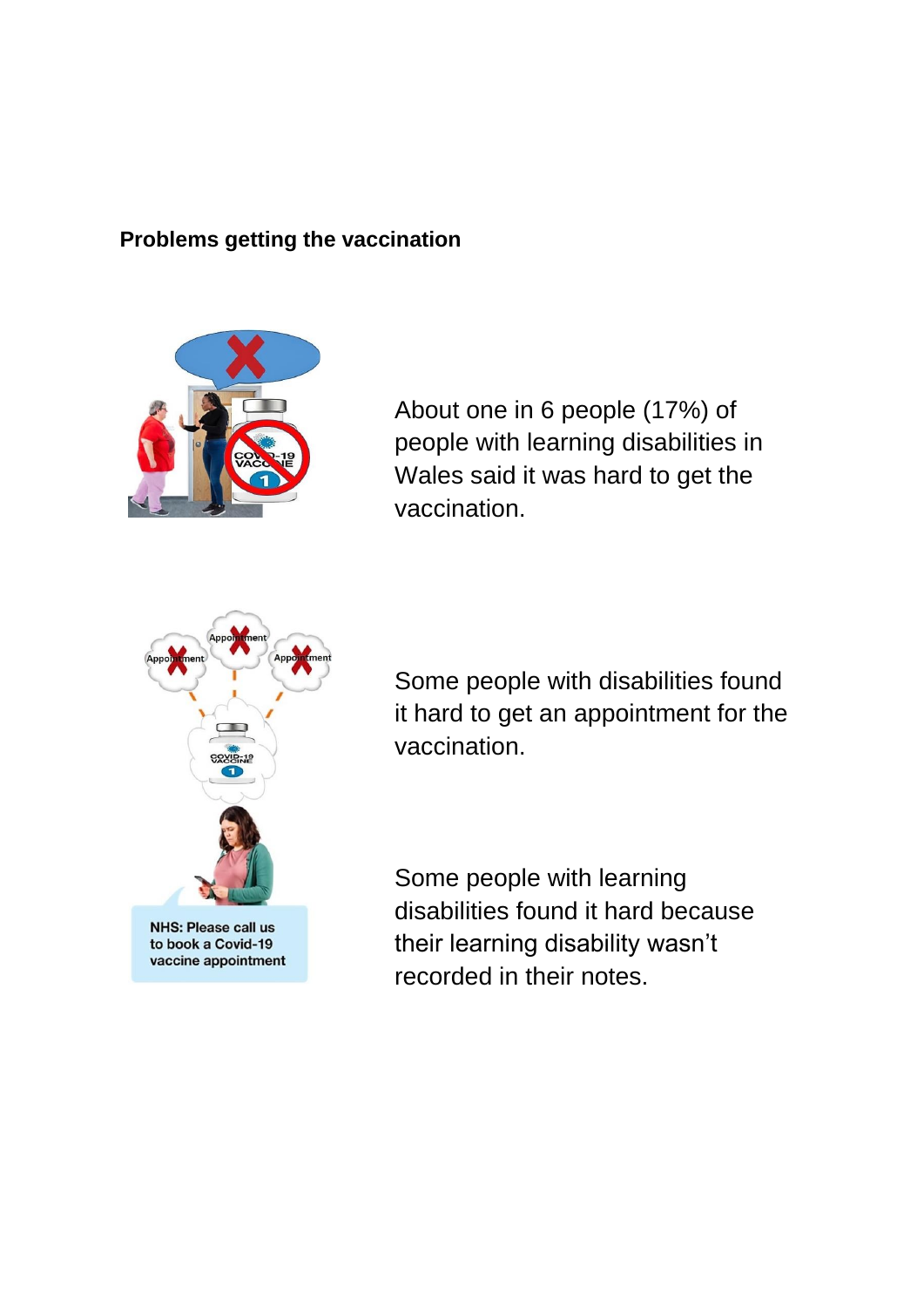#### **Problems getting the vaccination**



About one in 6 people (17%) of people with learning disabilities in Wales said it was hard to get the vaccination.



Some people with disabilities found it hard to get an appointment for the vaccination.

Some people with learning disabilities found it hard because their learning disability wasn't recorded in their notes.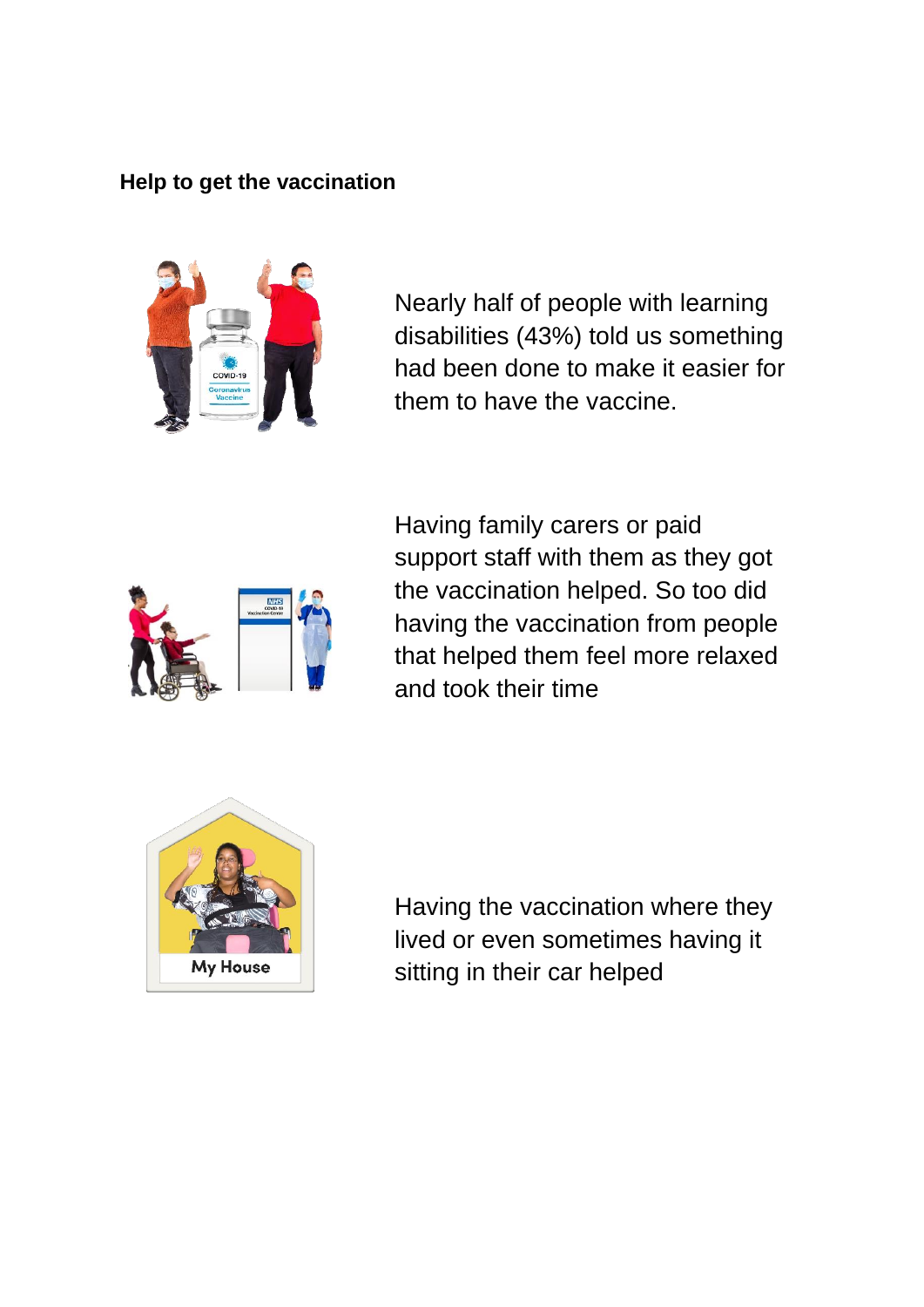#### **Help to get the vaccination**



Nearly half of people with learning disabilities (43%) told us something had been done to make it easier for them to have the vaccine.



Having family carers or paid support staff with them as they got the vaccination helped. So too did having the vaccination from people that helped them feel more relaxed and took their time



Having the vaccination where they lived or even sometimes having it sitting in their car helped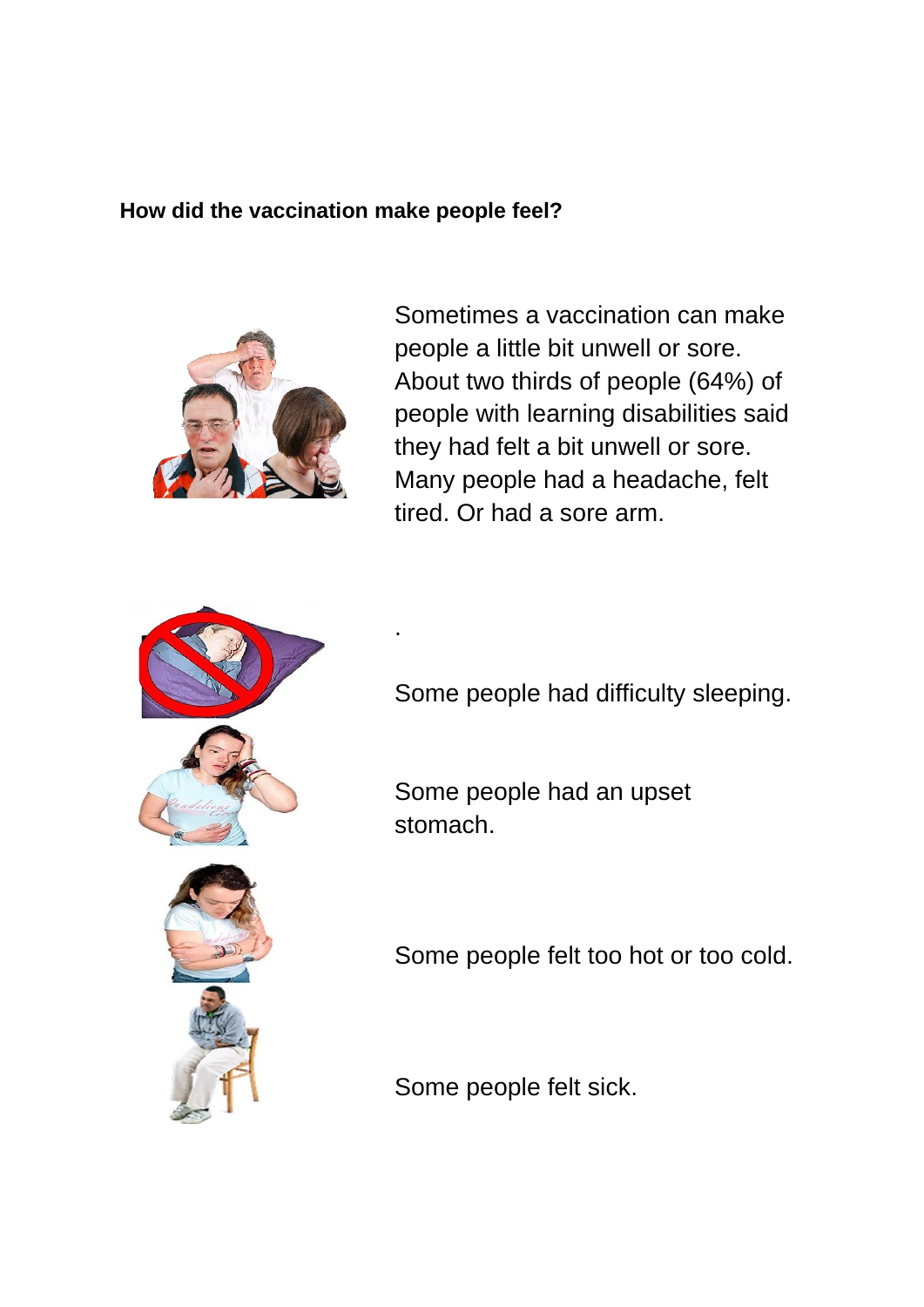#### **How did the vaccination make people feel?**

.



Sometimes a vaccination can make people a little bit unwell or sore. About two thirds of people (64%) of people with learning disabilities said they had felt a bit unwell or sore. Many people had a headache, felt tired. Or had a sore arm.



Some people had difficulty sleeping.

Some people had an upset stomach.



Some people felt too hot or too cold.

Some people felt sick.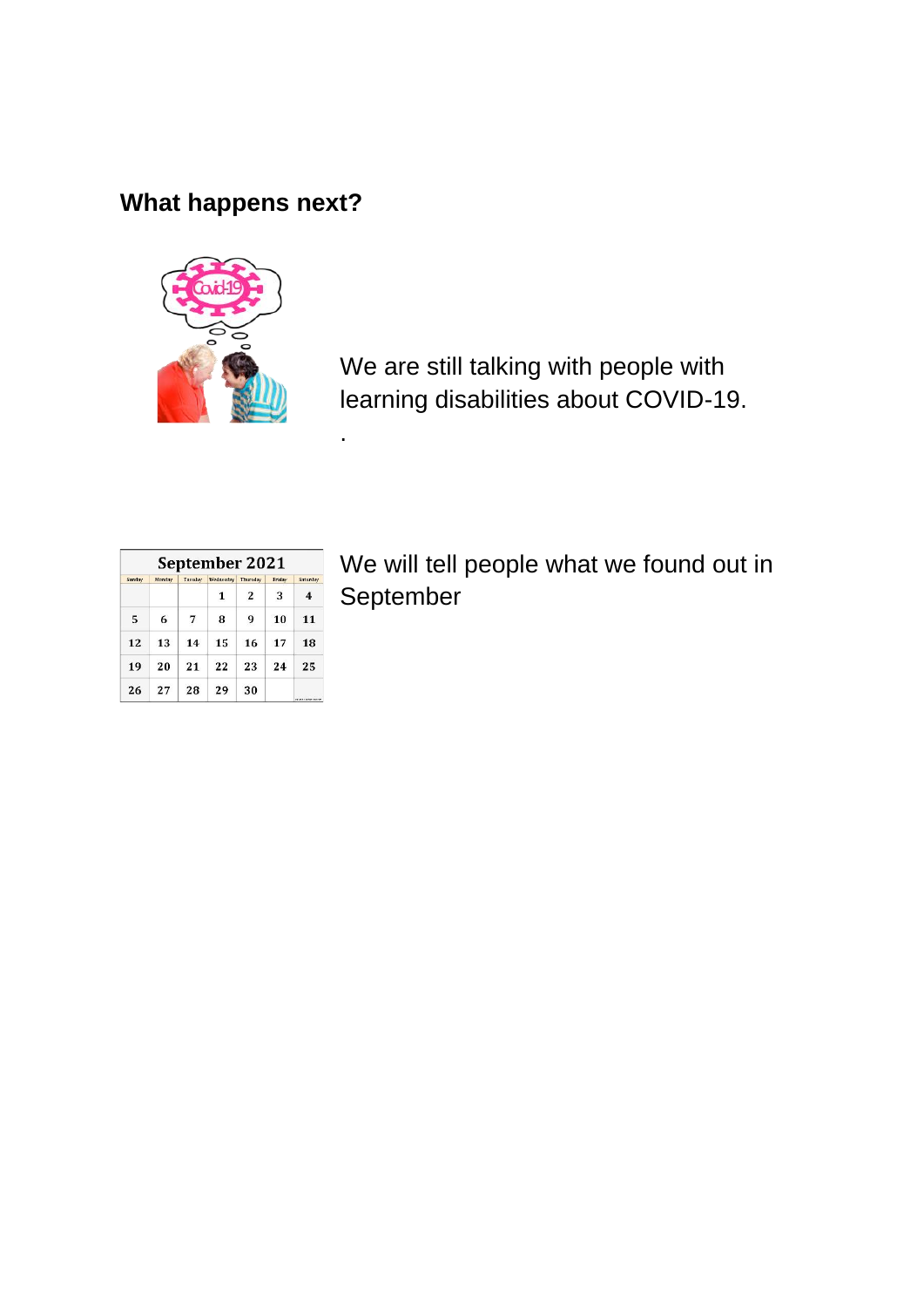## **What happens next?**



.

We are still talking with people with learning disabilities about COVID-19.

| September 2021 |        |         |           |                 |        |                     |
|----------------|--------|---------|-----------|-----------------|--------|---------------------|
| Sunday         | Monday | Tuesday | Wednesday | <b>Thursday</b> | Friday | Saturday            |
|                |        |         |           | 2               | 3      | 4                   |
| 5              | 6      | 7       | 8         | 9               | 10     | 11                  |
| 12             | 13     | 14      | 15        | 16              | 17     | 18                  |
| 19             | 20     | 21      | 22        | 23              | 24     | 25                  |
| 26             | 27     | 28      | 29        | 30              |        | an was control such |

We will tell people what we found out in September